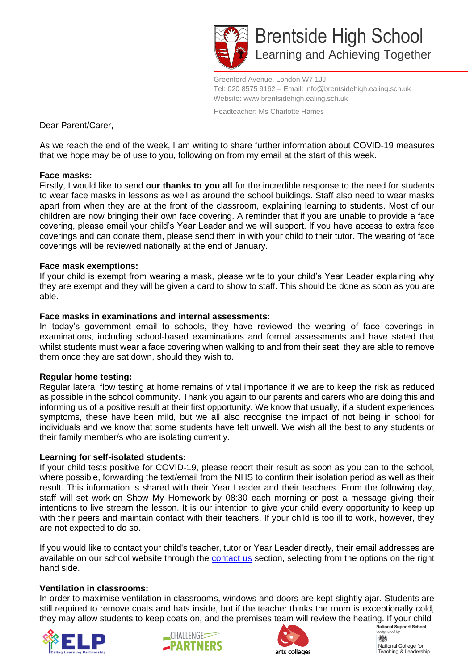

Brentside High School Learning and Achieving Together

Greenford Avenue, London W7 1JJ Tel: 020 8575 9162 – Email: info@brentsidehigh.ealing.sch.uk Website: www.brentsidehigh.ealing.sch.uk

Headteacher: Ms Charlotte Hames

Dear Parent/Carer,

As we reach the end of the week, I am writing to share further information about COVID-19 measures that we hope may be of use to you, following on from my email at the start of this week.

#### **Face masks:**

Firstly, I would like to send **our thanks to you all** for the incredible response to the need for students to wear face masks in lessons as well as around the school buildings. Staff also need to wear masks apart from when they are at the front of the classroom, explaining learning to students. Most of our children are now bringing their own face covering. A reminder that if you are unable to provide a face covering, please email your child's Year Leader and we will support. If you have access to extra face coverings and can donate them, please send them in with your child to their tutor. The wearing of face coverings will be reviewed nationally at the end of January.

## **Face mask exemptions:**

If your child is exempt from wearing a mask, please write to your child's Year Leader explaining why they are exempt and they will be given a card to show to staff. This should be done as soon as you are able.

## **Face masks in examinations and internal assessments:**

In today's government email to schools, they have reviewed the wearing of face coverings in examinations, including school-based examinations and formal assessments and have stated that whilst students must wear a face covering when walking to and from their seat, they are able to remove them once they are sat down, should they wish to.

# **Regular home testing:**

Regular lateral flow testing at home remains of vital importance if we are to keep the risk as reduced as possible in the school community. Thank you again to our parents and carers who are doing this and informing us of a positive result at their first opportunity. We know that usually, if a student experiences symptoms, these have been mild, but we all also recognise the impact of not being in school for individuals and we know that some students have felt unwell. We wish all the best to any students or their family member/s who are isolating currently.

#### **Learning for self-isolated students:**

If your child tests positive for COVID-19, please report their result as soon as you can to the school, where possible, forwarding the text/email from the NHS to confirm their isolation period as well as their result. This information is shared with their Year Leader and their teachers. From the following day, staff will set work on Show My Homework by 08:30 each morning or post a message giving their intentions to live stream the lesson. It is our intention to give your child every opportunity to keep up with their peers and maintain contact with their teachers. If your child is too ill to work, however, they are not expected to do so.

If you would like to contact your child's teacher, tutor or Year Leader directly, their email addresses are available on our school website through the **contact us** section, selecting from the options on the right hand side.

# **Ventilation in classrooms:**

In order to maximise ventilation in classrooms, windows and doors are kept slightly ajar. Students are still required to remove coats and hats inside, but if the teacher thinks the room is exceptionally cold, they may allow students to keep coats on, and the premises team will review the heating. If your child<br>
SUALITNGE









National College for Teaching & Leadership